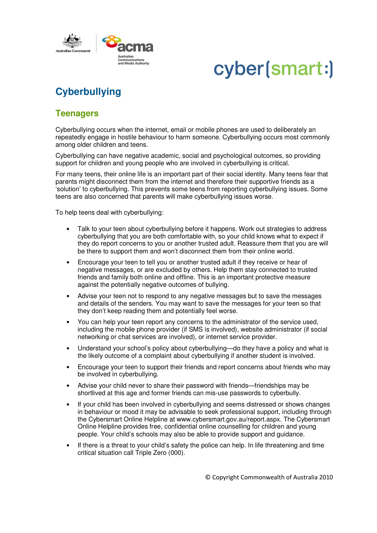

# cyber(smart:)

### **Cyberbullying**

### **Teenagers**

Cyberbullying occurs when the internet, email or mobile phones are used to deliberately an repeatedly engage in hostile behaviour to harm someone. Cyberbullying occurs most commonly among older children and teens.

Cyberbullying can have negative academic, social and psychological outcomes, so providing support for children and young people who are involved in cyberbullying is critical.

For many teens, their online life is an important part of their social identity. Many teens fear that parents might disconnect them from the internet and therefore their supportive friends as a 'solution' to cyberbullying. This prevents some teens from reporting cyberbullying issues. Some teens are also concerned that parents will make cyberbullying issues worse.

To help teens deal with cyberbullying:

- Talk to your teen about cyberbullying before it happens. Work out strategies to address cyberbullying that you are both comfortable with, so your child knows what to expect if they do report concerns to you or another trusted adult. Reassure them that you are will be there to support them and won't disconnect them from their online world.
- Encourage your teen to tell you or another trusted adult if they receive or hear of negative messages, or are excluded by others. Help them stay connected to trusted friends and family both online and offline. This is an important protective measure against the potentially negative outcomes of bullying.
- Advise your teen not to respond to any negative messages but to save the messages and details of the senders. You may want to save the messages for your teen so that they don't keep reading them and potentially feel worse.
- You can help your teen report any concerns to the administrator of the service used, including the mobile phone provider (if SMS is involved), website administrator (if social networking or chat services are involved), or internet service provider.
- Understand your school's policy about cyberbullying—do they have a policy and what is the likely outcome of a complaint about cyberbullying if another student is involved.
- Encourage your teen to support their friends and report concerns about friends who may be involved in cyberbullying.
- Advise your child never to share their password with friends—friendships may be shortlived at this age and former friends can mis-use passwords to cyberbully.
- If your child has been involved in cyberbullying and seems distressed or shows changes in behaviour or mood it may be advisable to seek professional support, including through the Cybersmart Online Helpline at www.cybersmart.gov.au/report.aspx. The Cybersmart Online Helpline provides free, confidential online counselling for children and young people. Your child's schools may also be able to provide support and guidance.
- If there is a threat to your child's safety the police can help. In life threatening and time critical situation call Triple Zero (000).

© Copyright Commonwealth of Australia 2010